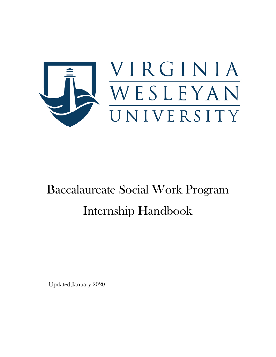

# Baccalaureate Social Work Program Internship Handbook

Updated January 2020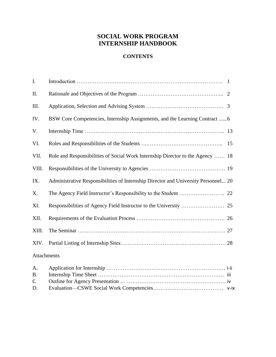# **SOCIAL WORK PROGRAM INTERNSHIP HANDBOOK**

# **CONTENTS**

| I.                    |                                                                                    |    |
|-----------------------|------------------------------------------------------------------------------------|----|
| Π.                    |                                                                                    |    |
| III.                  |                                                                                    |    |
| IV.                   | BSW Core Competencies, Internship Assignments, and the Learning Contract 6         |    |
| V.                    |                                                                                    |    |
| VI.                   |                                                                                    | 15 |
| VII.                  | Role and Responsibilities of Social Work Internship Director to the Agency  18     |    |
| VIII.                 |                                                                                    |    |
| IX.                   | Administrative Responsibilities of Internship Director and University Personnel 20 |    |
| X.                    |                                                                                    |    |
| XI.                   |                                                                                    |    |
| XII.                  |                                                                                    |    |
| XIII.                 |                                                                                    |    |
| XIV.                  |                                                                                    |    |
|                       | <b>Attachments</b>                                                                 |    |
| A.<br><b>B.</b><br>C. |                                                                                    |    |

D. Evaluation—CSWE Social Work Competencies………………………………… v-ix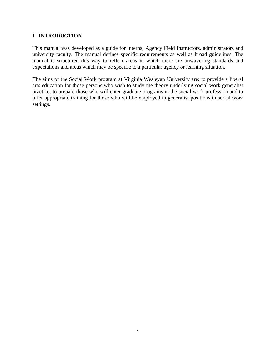## **I. INTRODUCTION**

This manual was developed as a guide for interns, Agency Field Instructors, administrators and university faculty. The manual defines specific requirements as well as broad guidelines. The manual is structured this way to reflect areas in which there are unwavering standards and expectations and areas which may be specific to a particular agency or learning situation.

The aims of the Social Work program at Virginia Wesleyan University are: to provide a liberal arts education for those persons who wish to study the theory underlying social work generalist practice; to prepare those who will enter graduate programs in the social work profession and to offer appropriate training for those who will be employed in generalist positions in social work settings.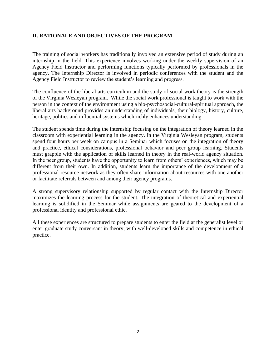# **II. RATIONALE AND OBJECTIVES OF THE PROGRAM**

The training of social workers has traditionally involved an extensive period of study during an internship in the field. This experience involves working under the weekly supervision of an Agency Field Instructor and performing functions typically performed by professionals in the agency. The Internship Director is involved in periodic conferences with the student and the Agency Field Instructor to review the student's learning and progress.

The confluence of the liberal arts curriculum and the study of social work theory is the strength of the Virginia Wesleyan program. While the social work professional is taught to work with the person in the context of the environment using a bio-psychosocial-cultural-spiritual approach, the liberal arts background provides an understanding of individuals, their biology, history, culture, heritage, politics and influential systems which richly enhances understanding.

The student spends time during the internship focusing on the integration of theory learned in the classroom with experiential learning in the agency. In the Virginia Wesleyan program, students spend four hours per week on campus in a Seminar which focuses on the integration of theory and practice, ethical considerations, professional behavior and peer group learning. Students must grapple with the application of skills learned in theory in the real-world agency situation. In the peer group, students have the opportunity to learn from others' experiences, which may be different from their own. In addition, students learn the importance of the development of a professional resource network as they often share information about resources with one another or facilitate referrals between and among their agency programs.

A strong supervisory relationship supported by regular contact with the Internship Director maximizes the learning process for the student. The integration of theoretical and experiential learning is solidified in the Seminar while assignments are geared to the development of a professional identity and professional ethic.

All these experiences are structured to prepare students to enter the field at the generalist level or enter graduate study conversant in theory, with well-developed skills and competence in ethical practice.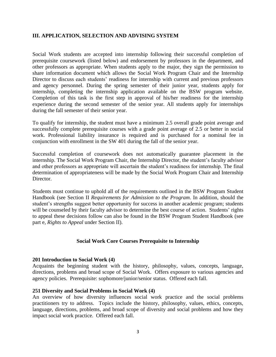#### **III. APPLICATION, SELECTION AND ADVISING SYSTEM**

Social Work students are accepted into internship following their successful completion of prerequisite coursework (listed below) and endorsement by professors in the department, and other professors as appropriate. When students apply to the major, they sign the permission to share information document which allows the Social Work Program Chair and the Internship Director to discuss each students' readiness for internship with current and previous professors and agency personnel. During the spring semester of their junior year, students apply for internship, completing the internship application available on the BSW program website. Completion of this task is the first step in approval of his/her readiness for the internship experience during the second semester of the senior year. All students apply for internships during the fall semester of their senior year.

To qualify for internship, the student must have a minimum 2.5 overall grade point average and successfully complete prerequisite courses with a grade point average of 2.5 or better in social work. Professional liability insurance is required and is purchased for a nominal fee in conjunction with enrollment in the SW 401 during the fall of the senior year.

Successful completion of coursework does not automatically guarantee placement in the internship. The Social Work Program Chair, the Internship Director, the student's faculty advisor and other professors as appropriate will ascertain the student's readiness for internship. The final determination of appropriateness will be made by the Social Work Program Chair and Internship Director.

Students must continue to uphold all of the requirements outlined in the BSW Program Student Handbook (see Section II *Requirements for Admission to the Program*. In addition, should the student's strengths suggest better opportunity for success in another academic program; students will be counseled by their faculty advisor to determine the best course of action. Students' rights to appeal these decisions follow can also be found in the BSW Program Student Handbook (see part e, *Rights to Appeal* under Section II).

#### **Social Work Core Courses Prerequisite to Internship**

#### **201 Introduction to Social Work (4)**

Acquaints the beginning student with the history, philosophy, values, concepts, language, directions, problems and broad scope of Social Work. Offers exposure to various agencies and agency policies. Prerequisite: sophomore/junior/senior status. Offered each fall.

#### **251 Diversity and Social Problems in Social Work (4)**

An overview of how diversity influences social work practice and the social problems practitioners try to address. Topics include the history, philosophy, values, ethics, concepts, language, directions, problems, and broad scope of diversity and social problems and how they impact social work practice. Offered each fall.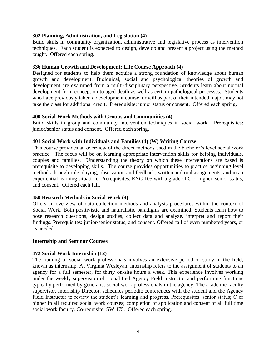#### **302 Planning, Administration, and Legislation (4)**

Build skills in community organization, administrative and legislative process as intervention techniques. Each student is expected to design, develop and present a project using the method taught. Offered each spring.

#### **336 Human Growth and Development: Life Course Approach (4)**

Designed for students to help them acquire a strong foundation of knowledge about human growth and development. Biological, social and psychological theories of growth and development are examined from a multi-disciplinary perspective. Students learn about normal development from conception to aged death as well as certain pathological processes. Students who have previously taken a development course, or will as part of their intended major, may not take the class for additional credit. Prerequisite: junior status or consent. Offered each spring.

#### **400 Social Work Methods with Groups and Communities (4)**

Build skills in group and community intervention techniques in social work. Prerequisites: junior/senior status and consent. Offered each spring.

#### **401 Social Work with Individuals and Families (4) (W) Writing Course**

This course provides an overview of the direct methods used in the bachelor's level social work practice. The focus will be on learning appropriate intervention skills for helping individuals, couples and families. Understanding the theory on which these interventions are based is prerequisite to developing skills. The course provides opportunities to practice beginning level methods through role playing, observation and feedback, written and oral assignments, and in an experiential learning situation. Prerequisites: ENG 105 with a grade of C or higher, senior status, and consent. Offered each fall.

#### **450 Research Methods in Social Work (4)**

Offers an overview of data collection methods and analysis procedures within the context of Social Work. Both positivistic and naturalistic paradigms are examined. Students learn how to pose research questions, design studies, collect data and analyze, interpret and report their findings. Prerequisites: junior/senior status, and consent. Offered fall of even numbered years, or as needed.

#### **Internship and Seminar Courses**

#### **472 Social Work Internship (12)**

The training of social work professionals involves an extensive period of study in the field, known as internship. At Virginia Wesleyan, internship refers to the assignment of students to an agency for a full semester, for thirty on-site hours a week. This experience involves working under the weekly supervision of a qualified Agency Field Instructor and performing functions typically performed by generalist social work professionals in the agency. The academic faculty supervisor, Internship Director, schedules periodic conferences with the student and the Agency Field Instructor to review the student's learning and progress. Prerequisites: senior status; C or higher in all required social work courses; completion of application and consent of all full time social work faculty. Co-requisite: SW 475. Offered each spring.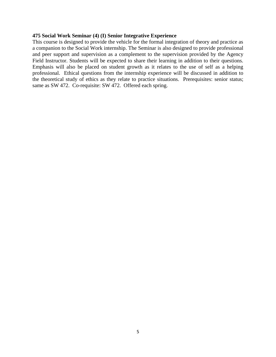#### **475 Social Work Seminar (4) (I) Senior Integrative Experience**

This course is designed to provide the vehicle for the formal integration of theory and practice as a companion to the Social Work internship. The Seminar is also designed to provide professional and peer support and supervision as a complement to the supervision provided by the Agency Field Instructor. Students will be expected to share their learning in addition to their questions. Emphasis will also be placed on student growth as it relates to the use of self as a helping professional. Ethical questions from the internship experience will be discussed in addition to the theoretical study of ethics as they relate to practice situations. Prerequisites: senior status; same as SW 472. Co-requisite: SW 472. Offered each spring.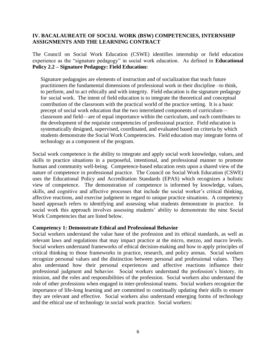#### **IV. BACALAUREATE OF SOCIAL WORK (BSW) COMPETENCIES, INTERNSHIP ASSIGNMENTS AND THE LEARNING CONTRACT**

The Council on Social Work Education (CSWE) identifies internship or field education experience as the "signature pedagogy" in social work education. As defined in **Educational Policy 2.2 – Signature Pedagogy: Field Education:**

Signature pedagogies are elements of instruction and of socialization that teach future practitioners the fundamental dimensions of professional work in their discipline –to think, to perform, and to act ethically and with integrity. Field education is the signature pedagogy for social work. The intent of field education is to integrate the theoretical and conceptual contribution of the classroom with the practical world of the practice setting. It is a basic precept of social work education that the two interrelated components of curriculum classroom and field—are of equal importance within the curriculum, and each contributes to the development of the requisite competencies of professional practice. Field education is systematically designed, supervised, coordinated, and evaluated based on criteria by which students demonstrate the Social Work Competencies. Field education may integrate forms of technology as a component of the program.

Social work competence is the ability to integrate and apply social work knowledge, values, and skills to practice situations in a purposeful, intentional, and professional manner to promote human and community well-being. Competence-based education rests upon a shared view of the nature of competence in professional practice. The Council on Social Work Education (CSWE) uses the Educational Policy and Accreditation Standards (EPAS) which recognizes a holistic view of competence. The demonstration of competence is informed by knowledge, values, skills, and cognitive and affective processes that include the social worker's critical thinking, affective reactions, and exercise judgment in regard to unique practice situations. A competency based approach refers to identifying and assessing what students demonstrate in practice. In social work this approach involves assessing students' ability to demonstrate the nine Social Work Competencies that are listed below.

#### **Competency 1: Demonstrate Ethical and Professional Behavior**

Social workers understand the value base of the profession and its ethical standards, as well as relevant laws and regulations that may impact practice at the micro, mezzo, and macro levels. Social workers understand frameworks of ethical decision-making and how to apply principles of critical thinking to those frameworks in practice, research, and policy arenas. Social workers recognize personal values and the distinction between personal and professional values. They also understand how their personal experiences and affective reactions influence their professional judgment and behavior. Social workers understand the profession's history, its mission, and the roles and responsibilities of the profession. Social workers also understand the role of other professions when engaged in inter-professional teams. Social workers recognize the importance of life-long learning and are committed to continually updating their skills to ensure they are relevant and effective. Social workers also understand emerging forms of technology and the ethical use of technology in social work practice. Social workers: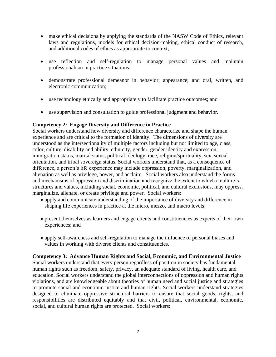- make ethical decisions by applying the standards of the NASW Code of Ethics, relevant laws and regulations, models for ethical decision-making, ethical conduct of research, and additional codes of ethics as appropriate to context;
- use reflection and self-regulation to manage personal values and maintain professionalism in practice situations;
- demonstrate professional demeanor in behavior; appearance; and oral, written, and electronic communication;
- use technology ethically and appropriately to facilitate practice outcomes; and
- use supervision and consultation to guide professional judgment and behavior.

#### **Competency 2: Engage Diversity and Difference in Practice**

Social workers understand how diversity and difference characterize and shape the human experience and are critical to the formation of identity. The dimensions of diversity are understood as the intersectionality of multiple factors including but not limited to age, class, color, culture, disability and ability, ethnicity, gender, gender identity and expression, immigration status, marital status, political ideology, race, religion/spirituality, sex, sexual orientation, and tribal sovereign status. Social workers understand that, as a consequence of difference, a person's life experience may include oppression, poverty, marginalization, and alienation as well as privilege, power, and acclaim. Social workers also understand the forms and mechanisms of oppression and discrimination and recognize the extent to which a culture's structures and values, including social, economic, political, and cultural exclusions, may oppress, marginalize, alienate, or create privilege and power. Social workers:

- apply and communicate understanding of the importance of diversity and difference in shaping life experiences in practice at the micro, mezzo, and macro levels;
- present themselves as learners and engage clients and constituencies as experts of their own experiences; and
- apply self-awareness and self-regulation to manage the influence of personal biases and values in working with diverse clients and constituencies.

#### **Competency 3: Advance Human Rights and Social, Economic, and Environmental Justice**

Social workers understand that every person regardless of position in society has fundamental human rights such as freedom, safety, privacy, an adequate standard of living, health care, and education. Social workers understand the global interconnections of oppression and human rights violations, and are knowledgeable about theories of human need and social justice and strategies to promote social and economic justice and human rights. Social workers understand strategies designed to eliminate oppressive structural barriers to ensure that social goods, rights, and responsibilities are distributed equitably and that civil, political, environmental, economic, social, and cultural human rights are protected. Social workers: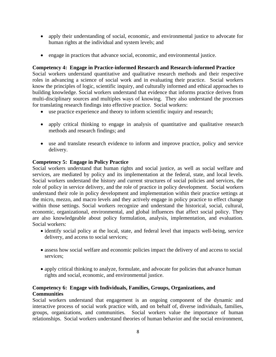- apply their understanding of social, economic, and environmental justice to advocate for human rights at the individual and system levels; and
- engage in practices that advance social, economic, and environmental justice.

#### **Competency 4: Engage in Practice-informed Research and Research-informed Practice**

Social workers understand quantitative and qualitative research methods and their respective roles in advancing a science of social work and in evaluating their practice. Social workers know the principles of logic, scientific inquiry, and culturally informed and ethical approaches to building knowledge. Social workers understand that evidence that informs practice derives from multi-disciplinary sources and multiples ways of knowing. They also understand the processes for translating research findings into effective practice. Social workers:

- use practice experience and theory to inform scientific inquiry and research;
- apply critical thinking to engage in analysis of quantitative and qualitative research methods and research findings; and
- use and translate research evidence to inform and improve practice, policy and service delivery.

# **Competency 5: Engage in Policy Practice**

Social workers understand that human rights and social justice, as well as social welfare and services, are mediated by policy and its implementation at the federal, state, and local levels. Social workers understand the history and current structures of social policies and services, the role of policy in service delivery, and the role of practice in policy development. Social workers understand their role in policy development and implementation within their practice settings at the micro, mezzo, and macro levels and they actively engage in policy practice to effect change within those settings. Social workers recognize and understand the historical, social, cultural, economic, organizational, environmental, and global influences that affect social policy. They are also knowledgeable about policy formulation, analysis, implementation, and evaluation. Social workers:

- identify social policy at the local, state, and federal level that impacts well-being, service delivery, and access to social services;
- assess how social welfare and economic policies impact the delivery of and access to social services;
- apply critical thinking to analyze, formulate, and advocate for policies that advance human rights and social, economic, and environmental justice.

# **Competency 6: Engage with Individuals, Families, Groups, Organizations, and Communities**

Social workers understand that engagement is an ongoing component of the dynamic and interactive process of social work practice with, and on behalf of, diverse individuals, families, groups, organizations, and communities. Social workers value the importance of human relationships. Social workers understand theories of human behavior and the social environment,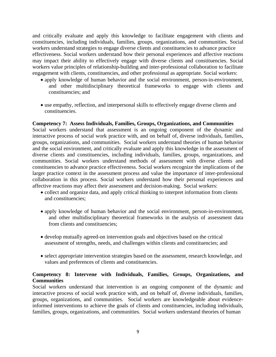and critically evaluate and apply this knowledge to facilitate engagement with clients and constituencies, including individuals, families, groups, organizations, and communities. Social workers understand strategies to engage diverse clients and constituencies to advance practice effectiveness. Social workers understand how their personal experiences and affective reactions may impact their ability to effectively engage with diverse clients and constituencies. Social workers value principles of relationship-building and inter-professional collaboration to facilitate engagement with clients, constituencies, and other professional as appropriate. Social workers:

- apply knowledge of human behavior and the social environment, person-in-environment, and other multidisciplinary theoretical frameworks to engage with clients and constituencies; and
- use empathy, reflection, and interpersonal skills to effectively engage diverse clients and constituencies.

#### **Competency 7: Assess Individuals, Families, Groups, Organizations, and Communities**

Social workers understand that assessment is an ongoing component of the dynamic and interactive process of social work practice with, and on behalf of, diverse individuals, families, groups, organizations, and communities. Social workers understand theories of human behavior and the social environment, and critically evaluate and apply this knowledge in the assessment of diverse clients and constituencies, including individuals, families, groups, organizations, and communities. Social workers understand methods of assessment with diverse clients and constituencies to advance practice effectiveness. Social workers recognize the implications of the larger practice context in the assessment process and value the importance of inter-professional collaboration in this process. Social workers understand how their personal experiences and affective reactions may affect their assessment and decision-making. Social workers:

- collect and organize data, and apply critical thinking to interpret information from clients and constituencies;
- apply knowledge of human behavior and the social environment, person-in-environment, and other multidisciplinary theoretical frameworks in the analysis of assessment data from clients and constituencies;
- develop mutually agreed-on intervention goals and objectives based on the critical assessment of strengths, needs, and challenges within clients and constituencies; and
- select appropriate intervention strategies based on the assessment, research knowledge, and values and preferences of clients and constituencies.

## **Competency 8: Intervene with Individuals, Families, Groups, Organizations, and Communities**

Social workers understand that intervention is an ongoing component of the dynamic and interactive process of social work practice with, and on behalf of, diverse individuals, families, groups, organizations, and communities. Social workers are knowledgeable about evidenceinformed interventions to achieve the goals of clients and constituencies, including individuals, families, groups, organizations, and communities. Social workers understand theories of human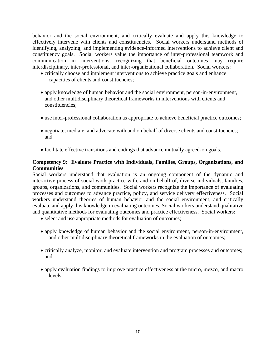behavior and the social environment, and critically evaluate and apply this knowledge to effectively intervene with clients and constituencies. Social workers understand methods of identifying, analyzing, and implementing evidence-informed interventions to achieve client and constituency goals. Social workers value the importance of inter-professional teamwork and communication in interventions, recognizing that beneficial outcomes may require interdisciplinary, inter-professional, and inter-organizational collaboration. Social workers:

- critically choose and implement interventions to achieve practice goals and enhance capacities of clients and constituencies;
- apply knowledge of human behavior and the social environment, person-in-environment, and other multidisciplinary theoretical frameworks in interventions with clients and constituencies;
- use inter-professional collaboration as appropriate to achieve beneficial practice outcomes;
- negotiate, mediate, and advocate with and on behalf of diverse clients and constituencies; and
- facilitate effective transitions and endings that advance mutually agreed-on goals.

#### **Competency 9: Evaluate Practice with Individuals, Families, Groups, Organizations, and Communities**

Social workers understand that evaluation is an ongoing component of the dynamic and interactive process of social work practice with, and on behalf of, diverse individuals, families, groups, organizations, and communities. Social workers recognize the importance of evaluating processes and outcomes to advance practice, policy, and service delivery effectiveness. Social workers understand theories of human behavior and the social environment, and critically evaluate and apply this knowledge in evaluating outcomes. Social workers understand qualitative and quantitative methods for evaluating outcomes and practice effectiveness. Social workers:

- select and use appropriate methods for evaluation of outcomes;
- apply knowledge of human behavior and the social environment, person-in-environment, and other multidisciplinary theoretical frameworks in the evaluation of outcomes;
- critically analyze, monitor, and evaluate intervention and program processes and outcomes; and
- apply evaluation findings to improve practice effectiveness at the micro, mezzo, and macro levels.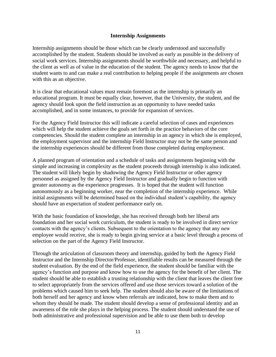#### **Internship Assignments**

Internship assignments should be those which can be clearly understood and successfully accomplished by the student. Students should be involved as early as possible in the delivery of social work services. Internship assignments should be worthwhile and necessary, and helpful to the client as well as of value in the education of the student. The agency needs to know that the student wants to and can make a real contribution to helping people if the assignments are chosen with this as an objective.

It is clear that educational values must remain foremost as the internship is primarily an educational program. It must be equally clear, however, that the University, the student, and the agency should look upon the field instruction as an opportunity to have needed tasks accomplished, and in some instances, to provide for expansion of services.

For the Agency Field Instructor this will indicate a careful selection of cases and experiences which will help the student achieve the goals set forth in the practice behaviors of the core competencies. Should the student complete an internship in an agency in which she is employed, the employment supervisor and the internship Field Instructor may not be the same person and the internship experiences should be different from those completed during employment.

A planned program of orientation and a schedule of tasks and assignments beginning with the simple and increasing in complexity as the student proceeds through internship is also indicated. The student will likely begin by shadowing the Agency Field Instructor or other agency personnel as assigned by the Agency Field Instructor and gradually begin to function with greater autonomy as the experience progresses. It is hoped that the student will function autonomously as a beginning worker, near the completion of the internship experience. While initial assignments will be determined based on the individual student's capability, the agency should have an expectation of student performance early on.

With the basic foundation of knowledge, she has received through both her liberal arts foundation and her social work curriculum, the student is ready to be involved in direct service contacts with the agency's clients. Subsequent to the orientation to the agency that any new employee would receive, she is ready to begin giving service at a basic level through a process of selection on the part of the Agency Field Instructor.

Through the articulation of classroom theory and internship, guided by both the Agency Field Instructor and the Internship Director/Professor, identifiable results can be measured through the student evaluation. By the end of the field experience, the student should be familiar with the agency's function and purpose and know how to use the agency for the benefit of her client. The student should be able to establish a trusting relationship with the client that leaves the client free to select appropriately from the services offered and use those services toward a solution of the problems which caused him to seek help. The student should also be aware of the limitations of both herself and her agency and know when referrals are indicated, how to make them and to whom they should be made. The student should develop a sense of professional identity and an awareness of the role she plays in the helping process. The student should understand the use of both administrative and professional supervision and be able to use them both to develop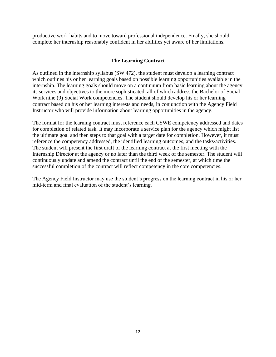productive work habits and to move toward professional independence. Finally, she should complete her internship reasonably confident in her abilities yet aware of her limitations.

## **The Learning Contract**

As outlined in the internship syllabus (SW 472), the student must develop a learning contract which outlines his or her learning goals based on possible learning opportunities available in the internship. The learning goals should move on a continuum from basic learning about the agency its services and objectives to the more sophisticated, all of which address the Bachelor of Social Work nine (9) Social Work competencies. The student should develop his or her learning contract based on his or her learning interests and needs, in conjunction with the Agency Field Instructor who will provide information about learning opportunities in the agency.

The format for the learning contract must reference each CSWE competency addressed and dates for completion of related task. It may incorporate a service plan for the agency which might list the ultimate goal and then steps to that goal with a target date for completion. However, it must reference the competency addressed, the identified learning outcomes, and the tasks/activities. The student will present the first draft of the learning contract at the first meeting with the Internship Director at the agency or no later than the third week of the semester. The student will continuously update and amend the contract until the end of the semester, at which time the successful completion of the contract will reflect competency in the core competencies.

The Agency Field Instructor may use the student's progress on the learning contract in his or her mid-term and final evaluation of the student's learning.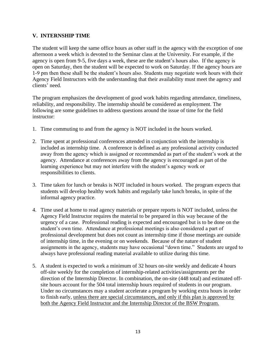## **V. INTERNSHIP TIME**

The student will keep the same office hours as other staff in the agency with the exception of one afternoon a week which is devoted to the Seminar class at the University. For example, if the agency is open from 9-5, five days a week, these are the student's hours also. If the agency is open on Saturday, then the student will be expected to work on Saturday. If the agency hours are 1-9 pm then these shall be the student's hours also. Students may negotiate work hours with their Agency Field Instructors with the understanding that their availability must meet the agency and clients' need.

The program emphasizes the development of good work habits regarding attendance, timeliness, reliability, and responsibility. The internship should be considered as employment. The following are some guidelines to address questions around the issue of time for the field instructor:

- 1. Time commuting to and from the agency is NOT included in the hours worked.
- 2. Time spent at professional conferences attended in conjunction with the internship is included as internship time. A conference is defined as any professional activity conducted away from the agency which is assigned or recommended as part of the student's work at the agency. Attendance at conferences away from the agency is encouraged as part of the learning experience but may not interfere with the student's agency work or responsibilities to clients.
- 3. Time taken for lunch or breaks is NOT included in hours worked. The program expects that students will develop healthy work habits and regularly take lunch breaks, in spite of the informal agency practice.
- 4. Time used at home to read agency materials or prepare reports is NOT included, unless the Agency Field Instructor requires the material to be prepared in this way because of the urgency of a case. Professional reading is expected and encouraged but is to be done on the student's own time. Attendance at professional meetings is also considered a part of professional development but does not count as internship time if those meetings are outside of internship time, in the evening or on weekends. Because of the nature of student assignments in the agency, students may have occasional "down time." Students are urged to always have professional reading material available to utilize during this time.
- 5. A student is expected to work a minimum of 32 hours on-site weekly and dedicate 4 hours off-site weekly for the completion of internship-related activities/assignments per the direction of the Internship Director. In combination, the on-site (448 total) and estimated offsite hours account for the 504 total internship hours required of students in our program. Under no circumstances may a student accelerate a program by working extra hours in order to finish early, unless there are special circumstances, and only if this plan is approved by both the Agency Field Instructor and the Internship Director of the BSW Program.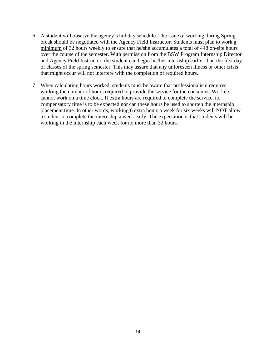- 6. A student will observe the agency's holiday schedule. The issue of working during Spring break should be negotiated with the Agency Field Instructor. Students must plan to work a minimum of 32 hours weekly to ensure that he/she accumulates a total of 448 on-site hours over the course of the semester. With permission from the BSW Program Internship Director and Agency Field Instructor, the student can begin his/her internship earlier than the first day of classes of the spring semester. This may assure that any unforeseen illness or other crisis that might occur will not interfere with the completion of required hours.
- 7. When calculating hours worked, students must be aware that professionalism requires working the number of hours required to provide the service for the consumer. Workers cannot work on a time clock. If extra hours are required to complete the service, no compensatory time is to be expected nor can these hours be used to shorten the internship placement time. In other words, working 6 extra hours a week for six weeks will NOT allow a student to complete the internship a week early. The expectation is that students will be working in the internship each week for no more than 32 hours.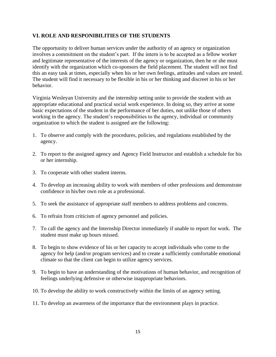## **VI. ROLE AND RESPONIBILITIES OF THE STUDENTS**

The opportunity to deliver human services under the authority of an agency or organization involves a commitment on the student's part. If the intern is to be accepted as a fellow worker and legitimate representative of the interests of the agency or organization, then he or she must identify with the organization which co-sponsors the field placement. The student will not find this an easy task at times, especially when his or her own feelings, attitudes and values are tested. The student will find it necessary to be flexible in his or her thinking and discreet in his or her behavior.

Virginia Wesleyan University and the internship setting unite to provide the student with an appropriate educational and practical social work experience. In doing so, they arrive at some basic expectations of the student in the performance of her duties, not unlike those of others working in the agency. The student's responsibilities to the agency, individual or community organization to which the student is assigned are the following:

- 1. To observe and comply with the procedures, policies, and regulations established by the agency.
- 2. To report to the assigned agency and Agency Field Instructor and establish a schedule for his or her internship.
- 3. To cooperate with other student interns.
- 4. To develop an increasing ability to work with members of other professions and demonstrate confidence in his/her own role as a professional.
- 5. To seek the assistance of appropriate staff members to address problems and concerns.
- 6. To refrain from criticism of agency personnel and policies.
- 7. To call the agency and the Internship Director immediately if unable to report for work. The student must make up hours missed.
- 8. To begin to show evidence of his or her capacity to accept individuals who come to the agency for help (and/or program services) and to create a sufficiently comfortable emotional climate so that the client can begin to utilize agency services.
- 9. To begin to have an understanding of the motivations of human behavior, and recognition of feelings underlying defensive or otherwise inappropriate behaviors.
- 10. To develop the ability to work constructively within the limits of an agency setting.
- 11. To develop an awareness of the importance that the environment plays in practice.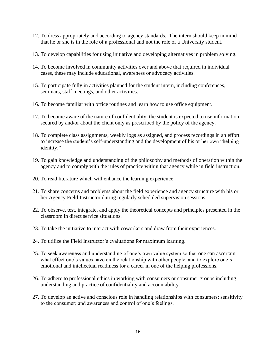- 12. To dress appropriately and according to agency standards. The intern should keep in mind that he or she is in the role of a professional and not the role of a University student.
- 13. To develop capabilities for using initiative and developing alternatives in problem solving.
- 14. To become involved in community activities over and above that required in individual cases, these may include educational, awareness or advocacy activities.
- 15. To participate fully in activities planned for the student intern, including conferences, seminars, staff meetings, and other activities.
- 16. To become familiar with office routines and learn how to use office equipment.
- 17. To become aware of the nature of confidentiality, the student is expected to use information secured by and/or about the client only as prescribed by the policy of the agency.
- 18. To complete class assignments, weekly logs as assigned, and process recordings in an effort to increase the student's self-understanding and the development of his or her own "helping identity."
- 19. To gain knowledge and understanding of the philosophy and methods of operation within the agency and to comply with the rules of practice within that agency while in field instruction.
- 20. To read literature which will enhance the learning experience.
- 21. To share concerns and problems about the field experience and agency structure with his or her Agency Field Instructor during regularly scheduled supervision sessions.
- 22. To observe, test, integrate, and apply the theoretical concepts and principles presented in the classroom in direct service situations.
- 23. To take the initiative to interact with coworkers and draw from their experiences.
- 24. To utilize the Field Instructor's evaluations for maximum learning.
- 25. To seek awareness and understanding of one's own value system so that one can ascertain what effect one's values have on the relationship with other people, and to explore one's emotional and intellectual readiness for a career in one of the helping professions.
- 26. To adhere to professional ethics in working with consumers or consumer groups including understanding and practice of confidentiality and accountability.
- 27. To develop an active and conscious role in handling relationships with consumers; sensitivity to the consumer; and awareness and control of one's feelings.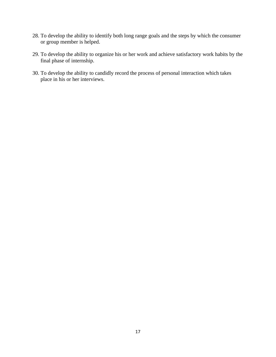- 28. To develop the ability to identify both long range goals and the steps by which the consumer or group member is helped.
- 29. To develop the ability to organize his or her work and achieve satisfactory work habits by the final phase of internship.
- 30. To develop the ability to candidly record the process of personal interaction which takes place in his or her interviews.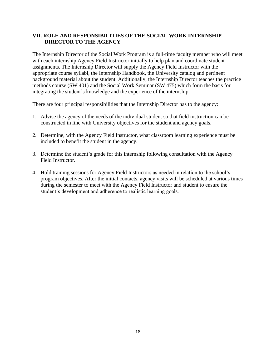## **VII. ROLE AND RESPONSIBILITIES OF THE SOCIAL WORK INTERNSHIP DIRECTOR TO THE AGENCY**

The Internship Director of the Social Work Program is a full-time faculty member who will meet with each internship Agency Field Instructor initially to help plan and coordinate student assignments. The Internship Director will supply the Agency Field Instructor with the appropriate course syllabi, the Internship Handbook, the University catalog and pertinent background material about the student. Additionally, the Internship Director teaches the practice methods course (SW 401) and the Social Work Seminar (SW 475) which form the basis for integrating the student's knowledge and the experience of the internship.

There are four principal responsibilities that the Internship Director has to the agency:

- 1. Advise the agency of the needs of the individual student so that field instruction can be constructed in line with University objectives for the student and agency goals.
- 2. Determine, with the Agency Field Instructor, what classroom learning experience must be included to benefit the student in the agency.
- 3. Determine the student's grade for this internship following consultation with the Agency Field Instructor.
- 4. Hold training sessions for Agency Field Instructors as needed in relation to the school's program objectives. After the initial contacts, agency visits will be scheduled at various times during the semester to meet with the Agency Field Instructor and student to ensure the student's development and adherence to realistic learning goals.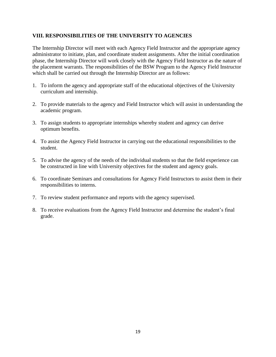## **VIII. RESPONSIBILITIES OF THE UNIVERSITY TO AGENCIES**

The Internship Director will meet with each Agency Field Instructor and the appropriate agency administrator to initiate, plan, and coordinate student assignments. After the initial coordination phase, the Internship Director will work closely with the Agency Field Instructor as the nature of the placement warrants. The responsibilities of the BSW Program to the Agency Field Instructor which shall be carried out through the Internship Director are as follows:

- 1. To inform the agency and appropriate staff of the educational objectives of the University curriculum and internship.
- 2. To provide materials to the agency and Field Instructor which will assist in understanding the academic program.
- 3. To assign students to appropriate internships whereby student and agency can derive optimum benefits.
- 4. To assist the Agency Field Instructor in carrying out the educational responsibilities to the student.
- 5. To advise the agency of the needs of the individual students so that the field experience can be constructed in line with University objectives for the student and agency goals.
- 6. To coordinate Seminars and consultations for Agency Field Instructors to assist them in their responsibilities to interns.
- 7. To review student performance and reports with the agency supervised.
- 8. To receive evaluations from the Agency Field Instructor and determine the student's final grade.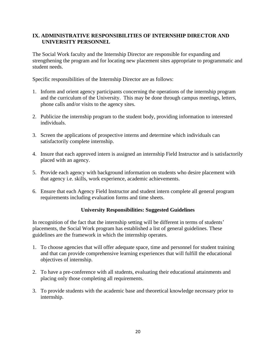# **IX. ADMINISTRATIVE RESPONSIBILITIES OF INTERNSHIP DIRECTOR AND UNIVERSITY PERSONNEL**

The Social Work faculty and the Internship Director are responsible for expanding and strengthening the program and for locating new placement sites appropriate to programmatic and student needs.

Specific responsibilities of the Internship Director are as follows:

- 1. Inform and orient agency participants concerning the operations of the internship program and the curriculum of the University. This may be done through campus meetings, letters, phone calls and/or visits to the agency sites.
- 2. Publicize the internship program to the student body, providing information to interested individuals.
- 3. Screen the applications of prospective interns and determine which individuals can satisfactorily complete internship.
- 4. Insure that each approved intern is assigned an internship Field Instructor and is satisfactorily placed with an agency.
- 5. Provide each agency with background information on students who desire placement with that agency i.e. skills, work experience, academic achievements.
- 6. Ensure that each Agency Field Instructor and student intern complete all general program requirements including evaluation forms and time sheets.

# **University Responsibilities: Suggested Guidelines**

In recognition of the fact that the internship setting will be different in terms of students' placements, the Social Work program has established a list of general guidelines. These guidelines are the framework in which the internship operates.

- 1. To choose agencies that will offer adequate space, time and personnel for student training and that can provide comprehensive learning experiences that will fulfill the educational objectives of internship.
- 2. To have a pre-conference with all students, evaluating their educational attainments and placing only those completing all requirements.
- 3. To provide students with the academic base and theoretical knowledge necessary prior to internship.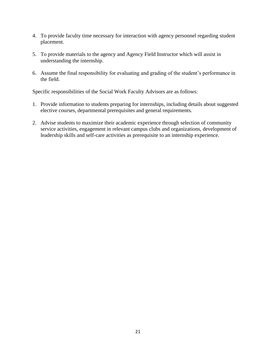- 4. To provide faculty time necessary for interaction with agency personnel regarding student placement.
- 5. To provide materials to the agency and Agency Field Instructor which will assist in understanding the internship.
- 6. Assume the final responsibility for evaluating and grading of the student's performance in the field.

Specific responsibilities of the Social Work Faculty Advisors are as follows:

- 1. Provide information to students preparing for internships, including details about suggested elective courses, departmental prerequisites and general requirements.
- 2. Advise students to maximize their academic experience through selection of community service activities, engagement in relevant campus clubs and organizations, development of leadership skills and self-care activities as prerequisite to an internship experience.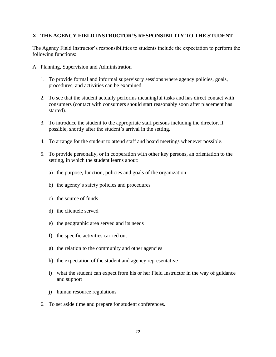## **X. THE AGENCY FIELD INSTRUCTOR'S RESPONSIBILITY TO THE STUDENT**

The Agency Field Instructor's responsibilities to students include the expectation to perform the following functions:

- A. Planning, Supervision and Administration
	- 1. To provide formal and informal supervisory sessions where agency policies, goals, procedures, and activities can be examined.
	- 2. To see that the student actually performs meaningful tasks and has direct contact with consumers (contact with consumers should start reasonably soon after placement has started).
	- 3. To introduce the student to the appropriate staff persons including the director, if possible, shortly after the student's arrival in the setting.
	- 4. To arrange for the student to attend staff and board meetings whenever possible.
	- 5. To provide personally, or in cooperation with other key persons, an orientation to the setting, in which the student learns about:
		- a) the purpose, function, policies and goals of the organization
		- b) the agency's safety policies and procedures
		- c) the source of funds
		- d) the clientele served
		- e) the geographic area served and its needs
		- f) the specific activities carried out
		- g) the relation to the community and other agencies
		- h) the expectation of the student and agency representative
		- i) what the student can expect from his or her Field Instructor in the way of guidance and support
		- j) human resource regulations
	- 6. To set aside time and prepare for student conferences.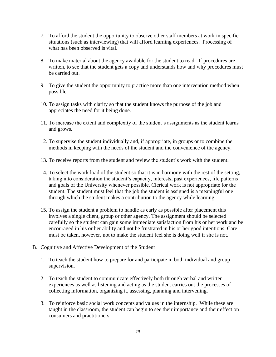- 7. To afford the student the opportunity to observe other staff members at work in specific situations (such as interviewing) that will afford learning experiences. Processing of what has been observed is vital.
- 8. To make material about the agency available for the student to read. If procedures are written, to see that the student gets a copy and understands how and why procedures must be carried out.
- 9. To give the student the opportunity to practice more than one intervention method when possible.
- 10. To assign tasks with clarity so that the student knows the purpose of the job and appreciates the need for it being done.
- 11. To increase the extent and complexity of the student's assignments as the student learns and grows.
- 12. To supervise the student individually and, if appropriate, in groups or to combine the methods in keeping with the needs of the student and the convenience of the agency.
- 13. To receive reports from the student and review the student's work with the student.
- 14. To select the work load of the student so that it is in harmony with the rest of the setting, taking into consideration the student's capacity, interests, past experiences, life patterns and goals of the University whenever possible. Clerical work is not appropriate for the student. The student must feel that the job the student is assigned is a meaningful one through which the student makes a contribution to the agency while learning.
- 15. To assign the student a problem to handle as early as possible after placement this involves a single client, group or other agency. The assignment should be selected carefully so the student can gain some immediate satisfaction from his or her work and be encouraged in his or her ability and not be frustrated in his or her good intentions. Care must be taken, however, not to make the student feel she is doing well if she is not.
- B. Cognitive and Affective Development of the Student
	- 1. To teach the student how to prepare for and participate in both individual and group supervision.
	- 2. To teach the student to communicate effectively both through verbal and written experiences as well as listening and acting as the student carries out the processes of collecting information, organizing it, assessing, planning and intervening.
	- 3. To reinforce basic social work concepts and values in the internship. While these are taught in the classroom, the student can begin to see their importance and their effect on consumers and practitioners.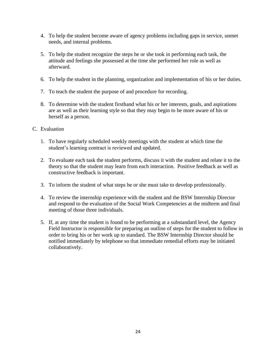- 4. To help the student become aware of agency problems including gaps in service, unmet needs, and internal problems.
- 5. To help the student recognize the steps he or she took in performing each task, the attitude and feelings she possessed at the time she performed her role as well as afterward.
- 6. To help the student in the planning, organization and implementation of his or her duties.
- 7. To teach the student the purpose of and procedure for recording.
- 8. To determine with the student firsthand what his or her interests, goals, and aspirations are as well as their learning style so that they may begin to be more aware of his or herself as a person.
- C. Evaluation
	- 1. To have regularly scheduled weekly meetings with the student at which time the student's learning contract is reviewed and updated.
	- 2. To evaluate each task the student performs, discuss it with the student and relate it to the theory so that the student may learn from each interaction. Positive feedback as well as constructive feedback is important.
	- 3. To inform the student of what steps he or she must take to develop professionally.
	- 4. To review the internship experience with the student and the BSW Internship Director and respond to the evaluation of the Social Work Competencies at the midterm and final meeting of those three individuals.
	- 5. If, at any time the student is found to be performing at a substandard level, the Agency Field Instructor is responsible for preparing an outline of steps for the student to follow in order to bring his or her work up to standard. The BSW Internship Director should be notified immediately by telephone so that immediate remedial efforts may be initiated collaboratively.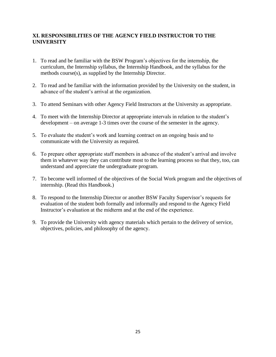# **XI. RESPONSIBILITIES OF THE AGENCY FIELD INSTRUCTOR TO THE UNIVERSITY**

- 1. To read and be familiar with the BSW Program's objectives for the internship, the curriculum, the Internship syllabus, the Internship Handbook, and the syllabus for the methods course(s), as supplied by the Internship Director.
- 2. To read and be familiar with the information provided by the University on the student, in advance of the student's arrival at the organization.
- 3. To attend Seminars with other Agency Field Instructors at the University as appropriate.
- 4. To meet with the Internship Director at appropriate intervals in relation to the student's development – on average 1-3 times over the course of the semester in the agency.
- 5. To evaluate the student's work and learning contract on an ongoing basis and to communicate with the University as required.
- 6. To prepare other appropriate staff members in advance of the student's arrival and involve them in whatever way they can contribute most to the learning process so that they, too, can understand and appreciate the undergraduate program.
- 7. To become well informed of the objectives of the Social Work program and the objectives of internship. (Read this Handbook.)
- 8. To respond to the Internship Director or another BSW Faculty Supervisor's requests for evaluation of the student both formally and informally and respond to the Agency Field Instructor's evaluation at the midterm and at the end of the experience.
- 9. To provide the University with agency materials which pertain to the delivery of service, objectives, policies, and philosophy of the agency.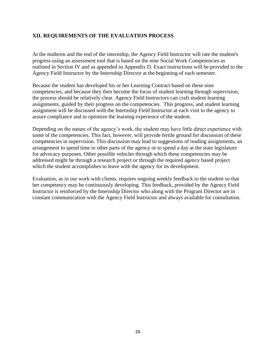# **XII. REQUIREMENTS OF THE EVALUATION PROCESS**

At the midterm and the end of the internship, the Agency Field Instructor will rate the student's progress using an assessment tool that is based on the nine Social Work Competencies as outlined in Section IV and as appended in Appendix D. Exact instructions will be provided to the Agency Field Instructor by the Internship Director at the beginning of each semester.

Because the student has developed his or her Learning Contract based on these nine competencies, and because they then become the focus of student learning through supervision, the process should be relatively clear. Agency Field Instructors can craft student learning assignments, guided by their progress on the competencies. This progress, and student learning assignment will be discussed with the Internship Field Instructor at each visit to the agency to assure compliance and to optimize the learning experience of the student.

Depending on the nature of the agency's work, the student may have little direct experience with some of the competencies. This fact, however, will provide fertile ground for discussion of these competencies in supervision. This discussion may lead to suggestions of reading assignments, an arrangement to spend time in other parts of the agency or to spend a day at the state legislature for advocacy purposes. Other possible vehicles through which these competencies may be addressed might be through a research project or through the required agency based project which the student accomplishes to leave with the agency for its development.

Evaluation, as in our work with clients, requires ongoing weekly feedback to the student so that her competency may be continuously developing. This feedback, provided by the Agency Field Instructor is reinforced by the Internship Director who along with the Program Director are in constant communication with the Agency Field Instructor and always available for consultation.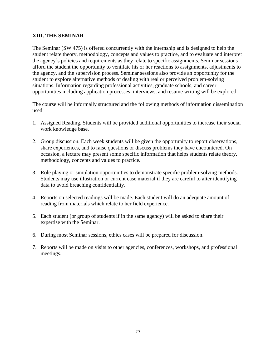#### **XIII. THE SEMINAR**

The Seminar (SW 475) is offered concurrently with the internship and is designed to help the student relate theory, methodology, concepts and values to practice, and to evaluate and interpret the agency's policies and requirements as they relate to specific assignments. Seminar sessions afford the student the opportunity to ventilate his or her reactions to assignments, adjustments to the agency, and the supervision process. Seminar sessions also provide an opportunity for the student to explore alternative methods of dealing with real or perceived problem-solving situations. Information regarding professional activities, graduate schools, and career opportunities including application processes, interviews, and resume writing will be explored.

The course will be informally structured and the following methods of information dissemination used:

- 1. Assigned Reading. Students will be provided additional opportunities to increase their social work knowledge base.
- 2. Group discussion. Each week students will be given the opportunity to report observations, share experiences, and to raise questions or discuss problems they have encountered. On occasion, a lecture may present some specific information that helps students relate theory, methodology, concepts and values to practice.
- 3. Role playing or simulation opportunities to demonstrate specific problem-solving methods. Students may use illustration or current case material if they are careful to alter identifying data to avoid breaching confidentiality.
- 4. Reports on selected readings will be made. Each student will do an adequate amount of reading from materials which relate to her field experience.
- 5. Each student (or group of students if in the same agency) will be asked to share their expertise with the Seminar.
- 6. During most Seminar sessions, ethics cases will be prepared for discussion.
- 7. Reports will be made on visits to other agencies, conferences, workshops, and professional meetings.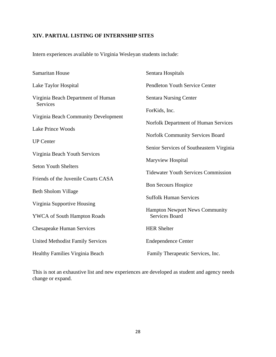# **XIV. PARTIAL LISTING OF INTERNSHIP SITES**

Intern experiences available to Virginia Wesleyan students include:

| <b>Samaritan House</b>                         | Sentara Hospitals                                                                      |  |
|------------------------------------------------|----------------------------------------------------------------------------------------|--|
| Lake Taylor Hospital                           | Pendleton Youth Service Center                                                         |  |
| Virginia Beach Department of Human<br>Services | <b>Sentara Nursing Center</b>                                                          |  |
|                                                | ForKids, Inc.                                                                          |  |
| Virginia Beach Community Development           | <b>Norfolk Department of Human Services</b><br><b>Norfolk Community Services Board</b> |  |
| <b>Lake Prince Woods</b>                       |                                                                                        |  |
| <b>UP Center</b>                               | Senior Services of Southeastern Virginia                                               |  |
| Virginia Beach Youth Services                  | Maryview Hospital                                                                      |  |
| <b>Seton Youth Shelters</b>                    | <b>Tidewater Youth Services Commission</b>                                             |  |
| Friends of the Juvenile Courts CASA            | <b>Bon Secours Hospice</b>                                                             |  |
| <b>Beth Sholom Village</b>                     | <b>Suffolk Human Services</b>                                                          |  |
| Virginia Supportive Housing                    | <b>Hampton Newport News Community</b>                                                  |  |
| <b>YWCA of South Hampton Roads</b>             | <b>Services Board</b>                                                                  |  |
| <b>Chesapeake Human Services</b>               | <b>HER Shelter</b>                                                                     |  |
| <b>United Methodist Family Services</b>        | <b>Endependence Center</b>                                                             |  |
| <b>Healthy Families Virginia Beach</b>         | Family Therapeutic Services, Inc.                                                      |  |

This is not an exhaustive list and new experiences are developed as student and agency needs change or expand.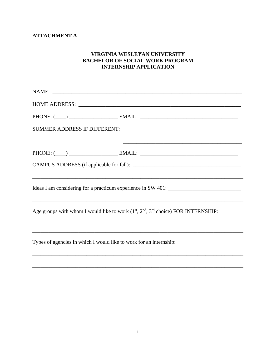# **ATTACHMENT A**

# VIRGINIA WESLEYAN UNIVERSITY **BACHELOR OF SOCIAL WORK PROGRAM INTERNSHIP APPLICATION**

|                                                                                    | $PHONE: (\_\_) \_\_$ EMAIL: $\_\_$                                                                               |  |  |  |  |  |  |
|------------------------------------------------------------------------------------|------------------------------------------------------------------------------------------------------------------|--|--|--|--|--|--|
|                                                                                    |                                                                                                                  |  |  |  |  |  |  |
|                                                                                    | and the control of the control of the control of the control of the control of the control of the control of the |  |  |  |  |  |  |
|                                                                                    | $PHONE: (\_\_) \_\_$ EMAIL: $\_\_$                                                                               |  |  |  |  |  |  |
|                                                                                    |                                                                                                                  |  |  |  |  |  |  |
|                                                                                    |                                                                                                                  |  |  |  |  |  |  |
| Age groups with whom I would like to work $(1st, 2nd, 3rd choice) FOR INTERNSHIP:$ |                                                                                                                  |  |  |  |  |  |  |
|                                                                                    |                                                                                                                  |  |  |  |  |  |  |
| Types of agencies in which I would like to work for an internship:                 |                                                                                                                  |  |  |  |  |  |  |
|                                                                                    |                                                                                                                  |  |  |  |  |  |  |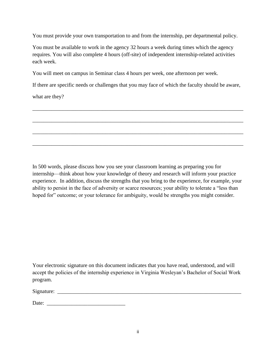You must provide your own transportation to and from the internship, per departmental policy.

You must be available to work in the agency 32 hours a week during times which the agency requires. You will also complete 4 hours (off-site) of independent internship-related activities each week.

You will meet on campus in Seminar class 4 hours per week, one afternoon per week.

If there are specific needs or challenges that you may face of which the faculty should be aware,

\_\_\_\_\_\_\_\_\_\_\_\_\_\_\_\_\_\_\_\_\_\_\_\_\_\_\_\_\_\_\_\_\_\_\_\_\_\_\_\_\_\_\_\_\_\_\_\_\_\_\_\_\_\_\_\_\_\_\_\_\_\_\_\_\_\_\_\_\_\_\_\_\_\_\_\_\_\_

\_\_\_\_\_\_\_\_\_\_\_\_\_\_\_\_\_\_\_\_\_\_\_\_\_\_\_\_\_\_\_\_\_\_\_\_\_\_\_\_\_\_\_\_\_\_\_\_\_\_\_\_\_\_\_\_\_\_\_\_\_\_\_\_\_\_\_\_\_\_\_\_\_\_\_\_\_\_

\_\_\_\_\_\_\_\_\_\_\_\_\_\_\_\_\_\_\_\_\_\_\_\_\_\_\_\_\_\_\_\_\_\_\_\_\_\_\_\_\_\_\_\_\_\_\_\_\_\_\_\_\_\_\_\_\_\_\_\_\_\_\_\_\_\_\_\_\_\_\_\_\_\_\_\_\_\_

\_\_\_\_\_\_\_\_\_\_\_\_\_\_\_\_\_\_\_\_\_\_\_\_\_\_\_\_\_\_\_\_\_\_\_\_\_\_\_\_\_\_\_\_\_\_\_\_\_\_\_\_\_\_\_\_\_\_\_\_\_\_\_\_\_\_\_\_\_\_\_\_\_\_\_\_\_\_

what are they?

In 500 words, please discuss how you see your classroom learning as preparing you for internship—think about how your knowledge of theory and research will inform your practice experience. In addition, discuss the strengths that you bring to the experience, for example, your ability to persist in the face of adversity or scarce resources; your ability to tolerate a "less than hoped for" outcome; or your tolerance for ambiguity, would be strengths you might consider.

Your electronic signature on this document indicates that you have read, understood, and will accept the policies of the internship experience in Virginia Wesleyan's Bachelor of Social Work program.

Signature: \_\_\_\_\_\_\_\_\_\_\_\_\_\_\_\_\_\_\_\_\_\_\_\_\_\_\_\_\_\_\_\_\_\_\_\_\_\_\_\_\_\_\_\_\_\_\_\_\_\_\_\_\_\_\_\_\_\_\_\_\_\_\_\_\_\_\_\_

Date: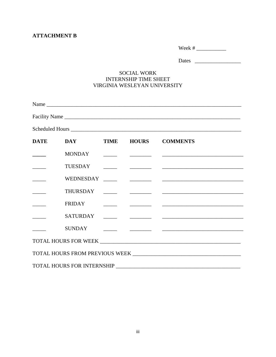# **ATTACHMENT B**

| Week # |  |
|--------|--|
|--------|--|

# **SOCIAL WORK** INTERNSHIP TIME SHEET VIRGINIA WESLEYAN UNIVERSITY

| <b>DATE</b> | $\mathbf{DAY}$  | <b>TIME</b> | <b>HOURS</b> | <b>COMMENTS</b>                                                                                                       |  |  |  |  |  |
|-------------|-----------------|-------------|--------------|-----------------------------------------------------------------------------------------------------------------------|--|--|--|--|--|
|             | <b>MONDAY</b>   |             |              |                                                                                                                       |  |  |  |  |  |
|             | <b>TUESDAY</b>  | $\sim$      |              |                                                                                                                       |  |  |  |  |  |
|             | WEDNESDAY       |             |              |                                                                                                                       |  |  |  |  |  |
|             | <b>THURSDAY</b> |             |              | <u> 1980 - Andrea Maria Alemania, prima de la contexta de la contexta de la contexta de la contexta de la context</u> |  |  |  |  |  |
|             | <b>FRIDAY</b>   |             |              |                                                                                                                       |  |  |  |  |  |
|             | <b>SATURDAY</b> |             |              | <u> 1989 - Januar Stein, mars and de la provincia de la provincia de la provincia de la provincia de la provincia</u> |  |  |  |  |  |
|             | <b>SUNDAY</b>   |             |              |                                                                                                                       |  |  |  |  |  |
|             |                 |             |              |                                                                                                                       |  |  |  |  |  |
|             |                 |             |              |                                                                                                                       |  |  |  |  |  |
|             |                 |             |              |                                                                                                                       |  |  |  |  |  |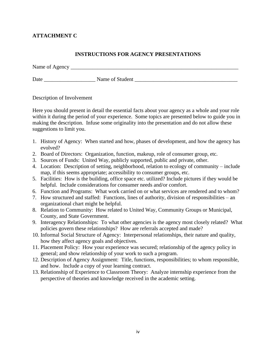# **ATTACHMENT C**

# **INSTRUCTIONS FOR AGENCY PRESENTATIONS**

Name of Agency \_\_\_\_\_\_\_\_\_\_\_\_\_\_\_\_\_\_\_\_\_\_\_\_\_\_\_\_\_\_\_\_\_\_\_\_\_\_\_\_\_\_\_\_\_\_\_\_\_\_\_\_\_\_\_\_\_\_\_\_\_\_

Date \_\_\_\_\_\_\_\_\_\_\_\_\_\_\_\_\_\_\_ Name of Student \_\_\_\_\_\_\_\_\_\_\_\_\_\_\_\_\_\_\_\_\_\_\_\_\_\_\_\_\_\_\_\_\_\_\_\_\_\_

Description of Involvement

Here you should present in detail the essential facts about your agency as a whole and your role within it during the period of your experience. Some topics are presented below to guide you in making the description. Infuse some originality into the presentation and do not allow these suggestions to limit you.

- 1. History of Agency: When started and how, phases of development, and how the agency has evolved?
- 2. Board of Directors: Organization, function, makeup, role of consumer group, etc.
- 3. Sources of Funds: United Way, publicly supported, public and private, other.
- 4. Location: Description of setting, neighborhood, relation to ecology of community include map, if this seems appropriate; accessibility to consumer groups, etc.
- 5. Facilities: How is the building, office space etc. utilized? Include pictures if they would be helpful. Include considerations for consumer needs and/or comfort.
- 6. Function and Programs: What work carried on or what services are rendered and to whom?
- 7. How structured and staffed: Functions, lines of authority, division of responsibilities an organizational chart might be helpful.
- 8. Relation to Community: How related to United Way, Community Groups or Municipal, County, and State Government.
- 9. Interagency Relationships: To what other agencies is the agency most closely related? What policies govern these relationships? How are referrals accepted and made?
- 10. Informal Social Structure of Agency: Interpersonal relationships, their nature and quality, how they affect agency goals and objectives.
- 11. Placement Policy: How your experience was secured; relationship of the agency policy in general; and show relationship of your work to such a program.
- 12. Description of Agency Assignment: Title, functions, responsibilities; to whom responsible, and how. Include a copy of your learning contract.
- 13. Relationship of Experience to Classroom Theory: Analyze internship experience from the perspective of theories and knowledge received in the academic setting.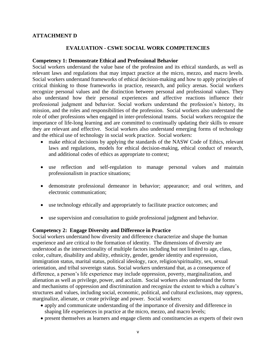# **ATTACHMENT D**

#### **EVALUATION - CSWE SOCIAL WORK COMPETENCIES**

#### **Competency 1: Demonstrate Ethical and Professional Behavior**

Social workers understand the value base of the profession and its ethical standards, as well as relevant laws and regulations that may impact practice at the micro, mezzo, and macro levels. Social workers understand frameworks of ethical decision-making and how to apply principles of critical thinking to those frameworks in practice, research, and policy arenas. Social workers recognize personal values and the distinction between personal and professional values. They also understand how their personal experiences and affective reactions influence their professional judgment and behavior. Social workers understand the profession's history, its mission, and the roles and responsibilities of the profession. Social workers also understand the role of other professions when engaged in inter-professional teams. Social workers recognize the importance of life-long learning and are committed to continually updating their skills to ensure they are relevant and effective. Social workers also understand emerging forms of technology and the ethical use of technology in social work practice. Social workers:

- make ethical decisions by applying the standards of the NASW Code of Ethics, relevant laws and regulations, models for ethical decision-making, ethical conduct of research, and additional codes of ethics as appropriate to context;
- use reflection and self-regulation to manage personal values and maintain professionalism in practice situations;
- demonstrate professional demeanor in behavior; appearance; and oral written, and electronic communication;
- use technology ethically and appropriately to facilitate practice outcomes; and
- use supervision and consultation to guide professional judgment and behavior.

#### **Competency 2: Engage Diversity and Difference in Practice**

Social workers understand how diversity and difference characterize and shape the human experience and are critical to the formation of identity. The dimensions of diversity are understood as the intersectionality of multiple factors including but not limited to age, class, color, culture, disability and ability, ethnicity, gender, gender identity and expression, immigration status, marital status, political ideology, race, religion/spirituality, sex, sexual orientation, and tribal sovereign status. Social workers understand that, as a consequence of difference, a person's life experience may include oppression, poverty, marginalization, and alienation as well as privilege, power, and acclaim. Social workers also understand the forms and mechanisms of oppression and discrimination and recognize the extent to which a culture's structures and values, including social, economic, political, and cultural exclusions, may oppress, marginalize, alienate, or create privilege and power. Social workers:

- apply and communicate understanding of the importance of diversity and difference in shaping life experiences in practice at the micro, mezzo, and macro levels;
- present themselves as learners and engage clients and constituencies as experts of their own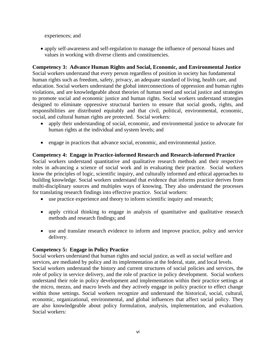experiences; and

• apply self-awareness and self-regulation to manage the influence of personal biases and values in working with diverse clients and constituencies.

## **Competency 3: Advance Human Rights and Social, Economic, and Environmental Justice**

Social workers understand that every person regardless of position in society has fundamental human rights such as freedom, safety, privacy, an adequate standard of living, health care, and education. Social workers understand the global interconnections of oppression and human rights violations, and are knowledgeable about theories of human need and social justice and strategies to promote social and economic justice and human rights. Social workers understand strategies designed to eliminate oppressive structural barriers to ensure that social goods, rights, and responsibilities are distributed equitably and that civil, political, environmental, economic, social, and cultural human rights are protected. Social workers:

- apply their understanding of social, economic, and environmental justice to advocate for human rights at the individual and system levels; and
- engage in practices that advance social, economic, and environmental justice.

#### **Competency 4: Engage in Practice-informed Research and Research-informed Practice**

Social workers understand quantitative and qualitative research methods and their respective roles in advancing a science of social work and in evaluating their practice. Social workers know the principles of logic, scientific inquiry, and culturally informed and ethical approaches to building knowledge. Social workers understand that evidence that informs practice derives from multi-disciplinary sources and multiples ways of knowing. They also understand the processes for translating research findings into effective practice. Social workers:

- use practice experience and theory to inform scientific inquiry and research;
- apply critical thinking to engage in analysis of quantitative and qualitative research methods and research findings; and
- use and translate research evidence to inform and improve practice, policy and service delivery.

#### **Competency 5: Engage in Policy Practice**

Social workers understand that human rights and social justice, as well as social welfare and services, are mediated by policy and its implementation at the federal, state, and local levels. Social workers understand the history and current structures of social policies and services, the role of policy in service delivery, and the role of practice in policy development. Social workers understand their role in policy development and implementation within their practice settings at the micro, mezzo, and macro levels and they actively engage in policy practice to effect change within those settings. Social workers recognize and understand the historical, social, cultural, economic, organizational, environmental, and global influences that affect social policy. They are also knowledgeable about policy formulation, analysis, implementation, and evaluation. Social workers: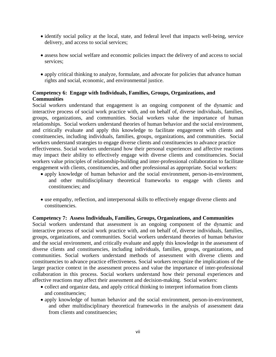- identify social policy at the local, state, and federal level that impacts well-being, service delivery, and access to social services;
- assess how social welfare and economic policies impact the delivery of and access to social services;
- apply critical thinking to analyze, formulate, and advocate for policies that advance human rights and social, economic, and environmental justice.

# **Competency 6: Engage with Individuals, Families, Groups, Organizations, and Communities**

Social workers understand that engagement is an ongoing component of the dynamic and interactive process of social work practice with, and on behalf of, diverse individuals, families, groups, organizations, and communities. Social workers value the importance of human relationships. Social workers understand theories of human behavior and the social environment, and critically evaluate and apply this knowledge to facilitate engagement with clients and constituencies, including individuals, families, groups, organizations, and communities. Social workers understand strategies to engage diverse clients and constituencies to advance practice effectiveness. Social workers understand how their personal experiences and affective reactions may impact their ability to effectively engage with diverse clients and constituencies. Social workers value principles of relationship-building and inter-professional collaboration to facilitate engagement with clients, constituencies, and other professional as appropriate. Social workers:

- apply knowledge of human behavior and the social environment, person-in-environment, and other multidisciplinary theoretical frameworks to engage with clients and constituencies; and
- use empathy, reflection, and interpersonal skills to effectively engage diverse clients and constituencies.

#### **Competency 7: Assess Individuals, Families, Groups, Organizations, and Communities**

Social workers understand that assessment is an ongoing component of the dynamic and interactive process of social work practice with, and on behalf of, diverse individuals, families, groups, organizations, and communities. Social workers understand theories of human behavior and the social environment, and critically evaluate and apply this knowledge in the assessment of diverse clients and constituencies, including individuals, families, groups, organizations, and communities. Social workers understand methods of assessment with diverse clients and constituencies to advance practice effectiveness. Social workers recognize the implications of the larger practice context in the assessment process and value the importance of inter-professional collaboration in this process. Social workers understand how their personal experiences and affective reactions may affect their assessment and decision-making. Social workers:

- collect and organize data, and apply critical thinking to interpret information from clients and constituencies;
- apply knowledge of human behavior and the social environment, person-in-environment, and other multidisciplinary theoretical frameworks in the analysis of assessment data from clients and constituencies;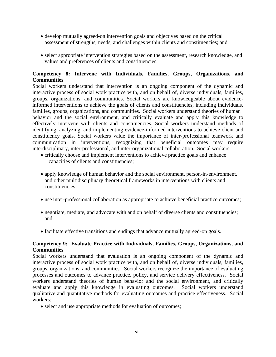- develop mutually agreed-on intervention goals and objectives based on the critical assessment of strengths, needs, and challenges within clients and constituencies; and
- select appropriate intervention strategies based on the assessment, research knowledge, and values and preferences of clients and constituencies.

# **Competency 8: Intervene with Individuals, Families, Groups, Organizations, and Communities**

Social workers understand that intervention is an ongoing component of the dynamic and interactive process of social work practice with, and on behalf of, diverse individuals, families, groups, organizations, and communities. Social workers are knowledgeable about evidenceinformed interventions to achieve the goals of clients and constituencies, including individuals, families, groups, organizations, and communities. Social workers understand theories of human behavior and the social environment, and critically evaluate and apply this knowledge to effectively intervene with clients and constituencies. Social workers understand methods of identifying, analyzing, and implementing evidence-informed interventions to achieve client and constituency goals. Social workers value the importance of inter-professional teamwork and communication in interventions, recognizing that beneficial outcomes may require interdisciplinary, inter-professional, and inter-organizational collaboration. Social workers:

- critically choose and implement interventions to achieve practice goals and enhance capacities of clients and constituencies;
- apply knowledge of human behavior and the social environment, person-in-environment, and other multidisciplinary theoretical frameworks in interventions with clients and constituencies;
- use inter-professional collaboration as appropriate to achieve beneficial practice outcomes;
- negotiate, mediate, and advocate with and on behalf of diverse clients and constituencies; and
- facilitate effective transitions and endings that advance mutually agreed-on goals.

#### **Competency 9: Evaluate Practice with Individuals, Families, Groups, Organizations, and Communities**

Social workers understand that evaluation is an ongoing component of the dynamic and interactive process of social work practice with, and on behalf of, diverse individuals, families, groups, organizations, and communities. Social workers recognize the importance of evaluating processes and outcomes to advance practice, policy, and service delivery effectiveness. Social workers understand theories of human behavior and the social environment, and critically evaluate and apply this knowledge in evaluating outcomes. Social workers understand qualitative and quantitative methods for evaluating outcomes and practice effectiveness. Social workers:

• select and use appropriate methods for evaluation of outcomes;